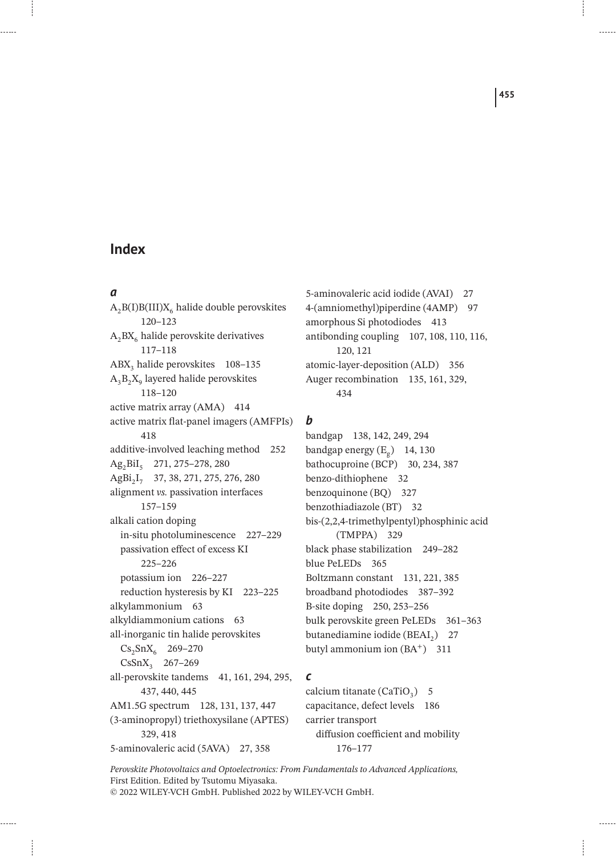### *a*

. . . . . .

 $A_2B(I)B(III)X_6$  halide double perovskites 120–123  $A_2BX_6$  halide perovskite derivatives 117–118 ABX<sub>3</sub> halide perovskites 108-135  $A_3B_2X_9$  layered halide perovskites 118–120 active matrix array (AMA) 414 active matrix flat-panel imagers (AMFPIs) 418 additive-involved leaching method 252 Ag<sub>2</sub>BiI<sub>5</sub> 271, 275–278, 280 AgBi<sub>2</sub>I<sub>7</sub> 37, 38, 271, 275, 276, 280 alignment *vs.* passivation interfaces 157–159 alkali cation doping in-situ photoluminescence 227–229 passivation effect of excess KI 225–226 potassium ion 226–227 reduction hysteresis by KI 223–225 alkylammonium 63 alkyldiammonium cations 63 all-inorganic tin halide perovskites  $Cs_2SnX_6$  269–270  $CsSnX_3$  267–269 all-perovskite tandems 41, 161, 294, 295, 437, 440, 445 AM1.5G spectrum 128, 131, 137, 447 (3-aminopropyl) triethoxysilane (APTES) 329, 418 5-aminovaleric acid (5AVA) 27, 358

5-aminovaleric acid iodide (AVAI) 27 4-(amniomethyl)piperdine (4AMP) 97 amorphous Si photodiodes 413 antibonding coupling 107, 108, 110, 116, 120, 121 atomic-layer-deposition (ALD) 356 Auger recombination 135, 161, 329, 434

#### *b*

bandgap 138, 142, 249, 294 bandgap energy  $(E_g)$  14, 130 bathocuproine (BCP) 30, 234, 387 benzo-dithiophene 32 benzoquinone (BQ) 327 benzothiadiazole (BT) 32 bis-(2,2,4-trimethylpentyl)phosphinic acid (TMPPA) 329 black phase stabilization 249–282 blue PeLEDs 365 Boltzmann constant 131, 221, 385 broadband photodiodes 387–392 B-site doping 250, 253–256 bulk perovskite green PeLEDs 361–363 butanediamine iodide (BEAI<sub>2</sub>) 27 butyl ammonium ion (BA<sup>+</sup>) 311

#### *c*

calcium titanate (CaTiO<sub>3</sub>) 5 capacitance, defect levels 186 carrier transport diffusion coefficient and mobility 176–177

------

*Perovskite Photovoltaics and Optoelectronics: From Fundamentals to Advanced Applications,* First Edition. Edited by Tsutomu Miyasaka. © 2022 WILEY-VCH GmbH. Published 2022 by WILEY-VCH GmbH.

**455**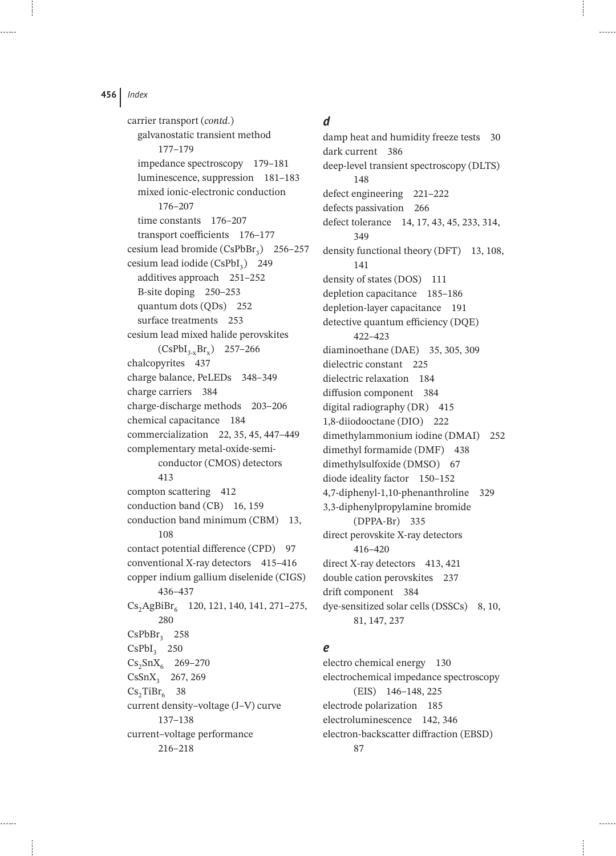. . . . . .

carrier transport (*contd*.) galvanostatic transient method 177–179 impedance spectroscopy 179–181 luminescence, suppression 181–183 mixed ionic-electronic conduction 176–207 time constants 176–207 transport coefficients 176–177 cesium lead bromide (CsPbBr<sub>3</sub>) 256–257 cesium lead iodide (CsPbI<sub>3</sub>) 249 additives approach 251–252 B-site doping 250–253 quantum dots (QDs) 252 surface treatments 253 cesium lead mixed halide perovskites  $(CsPbI_{3-x}Br_{x})$  257-266 chalcopyrites 437 charge balance, PeLEDs 348–349 charge carriers 384 charge-discharge methods 203–206 chemical capacitance 184 commercialization 22, 35, 45, 447–449 complementary metal-oxide-semiconductor (CMOS) detectors 413 compton scattering 412 conduction band (CB) 16, 159 conduction band minimum (CBM) 13, 108 contact potential difference (CPD) 97 conventional X-ray detectors 415–416 copper indium gallium diselenide (CIGS) 436–437  $Cs<sub>2</sub>AgBiBr<sub>6</sub>$  120, 121, 140, 141, 271-275, 280  $CsPbBr<sub>3</sub> 258$  $CsPbI_3$  250  $Cs_2SnX_6$  269–270  $CsSnX_3$  267, 269  $Cs<sub>2</sub>TiBr<sub>6</sub>$  38 current density–voltage (J–V) curve 137–138 current–voltage performance 216–218

## *d*

damp heat and humidity freeze tests 30 dark current 386 deep-level transient spectroscopy (DLTS) 148 defect engineering 221–222 defects passivation 266 defect tolerance 14, 17, 43, 45, 233, 314, 349 density functional theory (DFT) 13, 108, 141 density of states (DOS) 111 depletion capacitance 185–186 depletion-layer capacitance 191 detective quantum efficiency (DQE) 422–423 diaminoethane (DAE) 35, 305, 309 dielectric constant 225 dielectric relaxation 184 diffusion component 384 digital radiography (DR) 415 1,8-diiodooctane (DIO) 222 dimethylammonium iodine (DMAI) 252 dimethyl formamide (DMF) 438 dimethylsulfoxide (DMSO) 67 diode ideality factor 150–152 4,7-diphenyl-1,10-phenanthroline 329 3,3-diphenylpropylamine bromide (DPPA-Br) 335 direct perovskite X-ray detectors 416–420 direct X-ray detectors 413, 421 double cation perovskites 237 drift component 384 dye-sensitized solar cells (DSSCs) 8, 10, 81, 147, 237

# *e*

electro chemical energy 130 electrochemical impedance spectroscopy (EIS) 146–148, 225 electrode polarization 185 electroluminescence 142, 346 electron-backscatter diffraction (EBSD) 87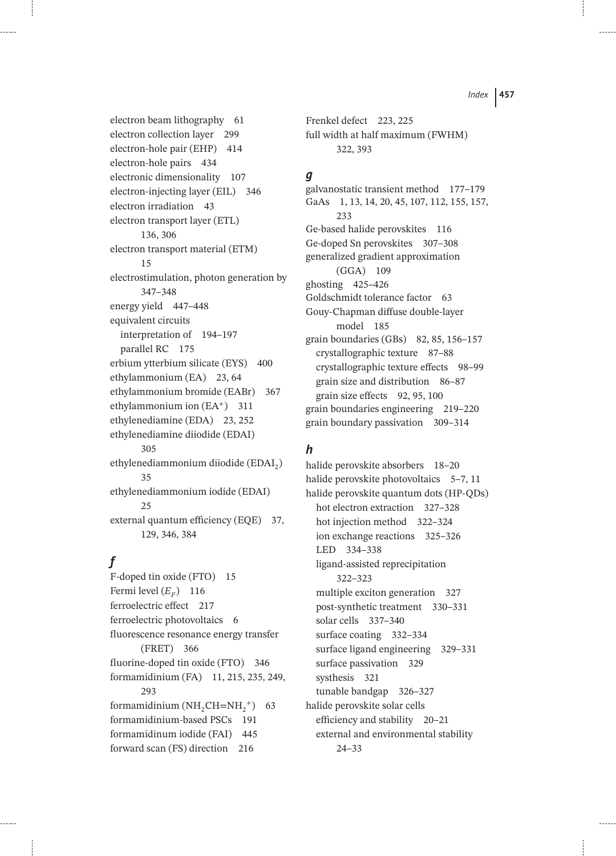electron beam lithography 61 electron collection layer 299 electron-hole pair (EHP) 414 electron-hole pairs 434 electronic dimensionality 107 electron-injecting layer (EIL) 346 electron irradiation 43 electron transport layer (ETL) 136, 306 electron transport material (ETM) 15 electrostimulation, photon generation by 347–348 energy yield 447–448 equivalent circuits interpretation of 194–197 parallel RC 175 erbium ytterbium silicate (EYS) 400 ethylammonium (EA) 23, 64 ethylammonium bromide (EABr) 367 ethylammonium ion (EA<sup>+</sup>) 311 ethylenediamine (EDA) 23, 252 ethylenediamine diiodide (EDAI) 305 ethylenediammonium diiodide (EDAI<sub>2</sub>) 35 ethylenediammonium iodide (EDAI)  $25$ external quantum efficiency (EQE) 37, 129, 346, 384

# *f*

------

F-doped tin oxide (FTO) 15 Fermi level  $(E_F)$  116 ferroelectric effect 217 ferroelectric photovoltaics 6 fluorescence resonance energy transfer (FRET) 366 fluorine-doped tin oxide (FTO) 346 formamidinium (FA) 11, 215, 235, 249, 293 formamidinium  $(NH_2CH=NH_2^+)$  63 formamidinium-based PSCs 191 formamidinum iodide (FAI) 445 forward scan (FS) direction 216

Frenkel defect 223, 225 full width at half maximum (FWHM) 322, 393

# *g*

galvanostatic transient method 177–179 GaAs 1, 13, 14, 20, 45, 107, 112, 155, 157, 233 Ge-based halide perovskites 116 Ge-doped Sn perovskites 307–308 generalized gradient approximation (GGA) 109 ghosting 425–426 Goldschmidt tolerance factor 63 Gouy-Chapman diffuse double-layer model 185 grain boundaries (GBs) 82, 85, 156–157 crystallographic texture 87–88 crystallographic texture effects 98–99 grain size and distribution 86–87 grain size effects 92, 95, 100 grain boundaries engineering 219–220 grain boundary passivation 309–314

# *h*

halide perovskite absorbers 18–20 halide perovskite photovoltaics 5–7, 11 halide perovskite quantum dots (HP-QDs) hot electron extraction 327–328 hot injection method 322-324 ion exchange reactions 325–326 LED 334–338 ligand-assisted reprecipitation 322–323 multiple exciton generation 327 post-synthetic treatment 330–331 solar cells 337–340 surface coating 332–334 surface ligand engineering 329–331 surface passivation 329 systhesis 321 tunable bandgap 326–327 halide perovskite solar cells efficiency and stability 20–21 external and environmental stability 24–33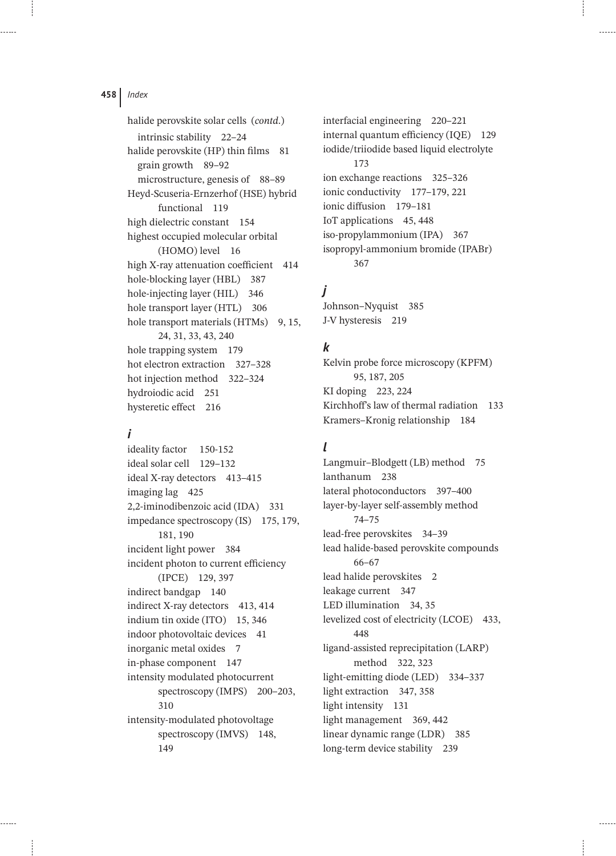halide perovskite solar cells (*contd*.) intrinsic stability 22–24 halide perovskite (HP) thin films 81 grain growth 89–92 microstructure, genesis of 88–89 Heyd-Scuseria-Ernzerhof (HSE) hybrid functional 119 high dielectric constant 154 highest occupied molecular orbital (HOMO) level 16 high X-ray attenuation coefficient 414 hole-blocking layer (HBL) 387 hole-injecting layer (HIL) 346 hole transport layer (HTL) 306 hole transport materials (HTMs) 9, 15, 24, 31, 33, 43, 240 hole trapping system 179 hot electron extraction 327–328 hot injection method 322–324 hydroiodic acid 251 hysteretic effect 216

# *i*

ideality factor 150-152 ideal solar cell 129–132 ideal X-ray detectors 413–415 imaging lag 425 2,2-iminodibenzoic acid (IDA) 331 impedance spectroscopy (IS) 175, 179, 181, 190 incident light power 384 incident photon to current efficiency (IPCE) 129, 397 indirect bandgap 140 indirect X-ray detectors 413, 414 indium tin oxide (ITO) 15, 346 indoor photovoltaic devices 41 inorganic metal oxides 7 in-phase component 147 intensity modulated photocurrent spectroscopy (IMPS) 200-203, 310 intensity-modulated photovoltage spectroscopy (IMVS) 148, 149

interfacial engineering 220–221 internal quantum efficiency (IQE) 129 iodide/triiodide based liquid electrolyte 173 ion exchange reactions 325–326 ionic conductivity 177–179, 221 ionic diffusion 179–181 IoT applications 45, 448 iso-propylammonium (IPA) 367 isopropyl-ammonium bromide (IPABr) 367

# *j*

Johnson–Nyquist 385 J-V hysteresis 219

# *k*

Kelvin probe force microscopy (KPFM) 95, 187, 205 KI doping 223, 224 Kirchhoff's law of thermal radiation 133 Kramers–Kronig relationship 184

# *l*

Langmuir–Blodgett (LB) method 75 lanthanum 238 lateral photoconductors 397–400 layer-by-layer self-assembly method 74–75 lead-free perovskites 34–39 lead halide-based perovskite compounds 66–67 lead halide perovskites 2 leakage current 347 LED illumination 34, 35 levelized cost of electricity (LCOE) 433, 448 ligand-assisted reprecipitation (LARP) method 322, 323 light-emitting diode (LED) 334–337 light extraction 347, 358 light intensity 131 light management 369, 442 linear dynamic range (LDR) 385 long-term device stability 239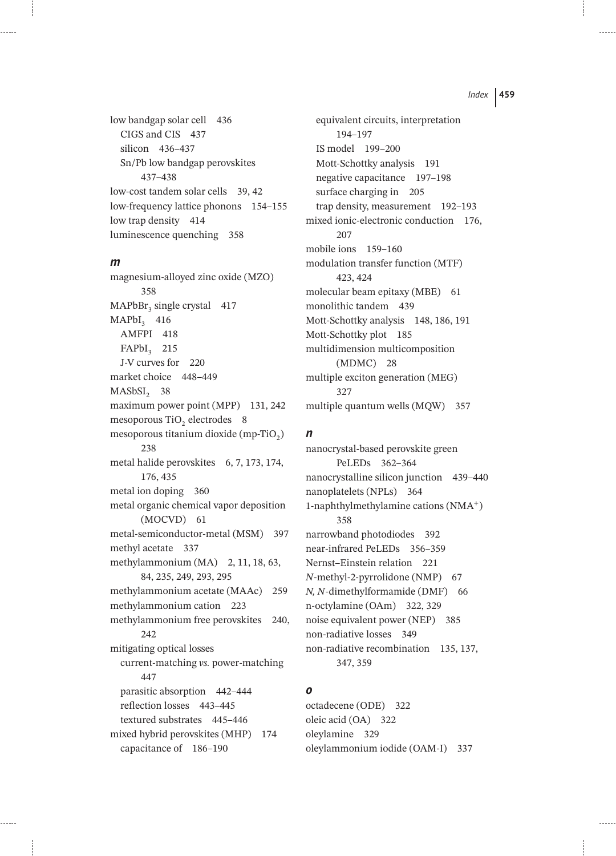low bandgap solar cell 436 CIGS and CIS 437 silicon 436–437 Sn/Pb low bandgap perovskites 437–438 low-cost tandem solar cells 39, 42 low-frequency lattice phonons 154–155 low trap density 414 luminescence quenching 358

#### *m*

. . . . . .

. . . . . .

magnesium-alloyed zinc oxide (MZO) 358  $MAPbBr<sub>3</sub> single crystal$  417  $MAPbI<sub>3</sub>$  416 AMFPI 418  $FAPbI<sub>3</sub>$  215 J-V curves for 220 market choice 448–449 MASbSI<sub>2</sub> 38 maximum power point (MPP) 131, 242 mesoporous  $TiO<sub>2</sub>$  electrodes 8 mesoporous titanium dioxide (mp-TiO<sub>2</sub>) 238 metal halide perovskites 6, 7, 173, 174, 176, 435 metal ion doping 360 metal organic chemical vapor deposition (MOCVD) 61 metal-semiconductor-metal (MSM) 397 methyl acetate 337 methylammonium (MA) 2, 11, 18, 63, 84, 235, 249, 293, 295 methylammonium acetate (MAAc) 259 methylammonium cation 223 methylammonium free perovskites 240, 242 mitigating optical losses current-matching *vs.* power-matching 447 parasitic absorption 442–444 reflection losses 443–445 textured substrates 445–446 mixed hybrid perovskites (MHP) 174 capacitance of 186–190

equivalent circuits, interpretation 194–197 IS model 199–200 Mott-Schottky analysis 191 negative capacitance 197–198 surface charging in 205 trap density, measurement 192–193 mixed ionic-electronic conduction 176, 207 mobile ions 159–160 modulation transfer function (MTF) 423, 424 molecular beam epitaxy (MBE) 61 monolithic tandem 439 Mott-Schottky analysis 148, 186, 191 Mott-Schottky plot 185 multidimension multicomposition (MDMC) 28 multiple exciton generation (MEG) 327 multiple quantum wells (MQW) 357

#### *n*

nanocrystal-based perovskite green PeLEDs 362–364 nanocrystalline silicon junction 439–440 nanoplatelets (NPLs) 364 1-naphthylmethylamine cations (NMA<sup>+</sup>) 358 narrowband photodiodes 392 near-infrared PeLEDs 356–359 Nernst–Einstein relation 221 *N*-methyl-2-pyrrolidone (NMP) 67 *N, N*-dimethylformamide (DMF) 66 n-octylamine (OAm) 322, 329 noise equivalent power (NEP) 385 non-radiative losses 349 non-radiative recombination 135, 137, 347, 359

# *o*

octadecene (ODE) 322 oleic acid (OA) 322 oleylamine 329 oleylammonium iodide (OAM-I) 337

 $1.1.1.1$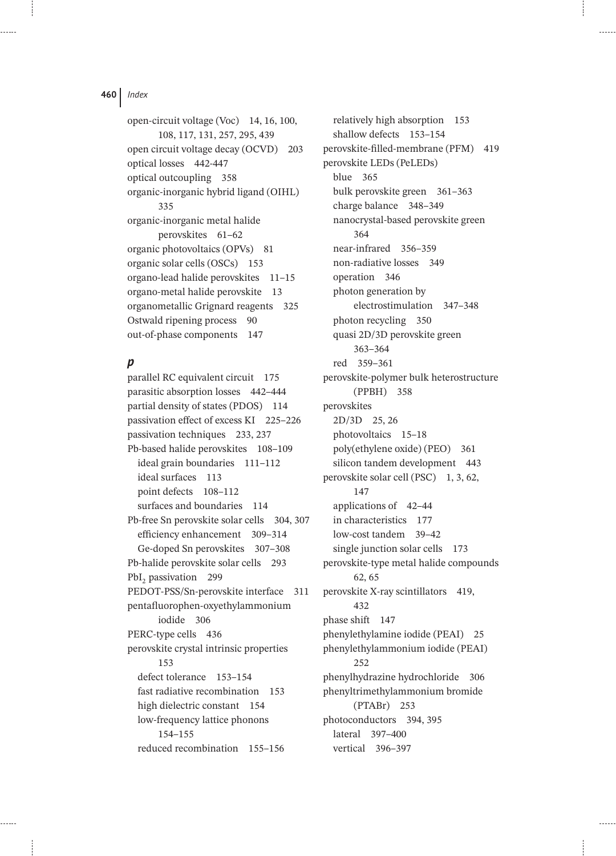. . . . . .

------

open-circuit voltage (Voc) 14, 16, 100, 108, 117, 131, 257, 295, 439 open circuit voltage decay (OCVD) 203 optical losses 442-447 optical outcoupling 358 organic-inorganic hybrid ligand (OIHL) 335 organic-inorganic metal halide perovskites 61–62 organic photovoltaics (OPVs) 81 organic solar cells (OSCs) 153 organo-lead halide perovskites 11–15 organo-metal halide perovskite 13 organometallic Grignard reagents 325 Ostwald ripening process 90 out-of-phase components 147

#### *p*

parallel RC equivalent circuit 175 parasitic absorption losses 442–444 partial density of states (PDOS) 114 passivation effect of excess KI 225–226 passivation techniques 233, 237 Pb-based halide perovskites 108–109 ideal grain boundaries 111–112 ideal surfaces 113 point defects 108–112 surfaces and boundaries 114 Pb-free Sn perovskite solar cells 304, 307 efficiency enhancement 309–314 Ge-doped Sn perovskites 307–308 Pb-halide perovskite solar cells 293 PbI<sub>2</sub> passivation 299 PEDOT-PSS/Sn-perovskite interface 311 pentafluorophen-oxyethylammonium iodide 306 PERC-type cells 436 perovskite crystal intrinsic properties 153 defect tolerance 153–154 fast radiative recombination 153 high dielectric constant 154 low-frequency lattice phonons 154–155 reduced recombination 155–156

relatively high absorption 153 shallow defects 153–154 perovskite-filled-membrane (PFM) 419 perovskite LEDs (PeLEDs) blue 365 bulk perovskite green 361–363 charge balance 348–349 nanocrystal-based perovskite green 364 near-infrared 356–359 non-radiative losses 349 operation 346 photon generation by electrostimulation 347–348 photon recycling 350 quasi 2D/3D perovskite green 363–364 red 359–361 perovskite-polymer bulk heterostructure (PPBH) 358 perovskites 2D/3D 25, 26 photovoltaics 15–18 poly(ethylene oxide) (PEO) 361 silicon tandem development 443 perovskite solar cell (PSC) 1, 3, 62, 147 applications of 42–44 in characteristics 177 low-cost tandem 39–42 single junction solar cells 173 perovskite-type metal halide compounds 62, 65 perovskite X-ray scintillators 419, 432 phase shift 147 phenylethylamine iodide (PEAI) 25 phenylethylammonium iodide (PEAI) 252 phenylhydrazine hydrochloride 306 phenyltrimethylammonium bromide (PTABr) 253 photoconductors 394, 395 lateral 397–400 vertical 396–397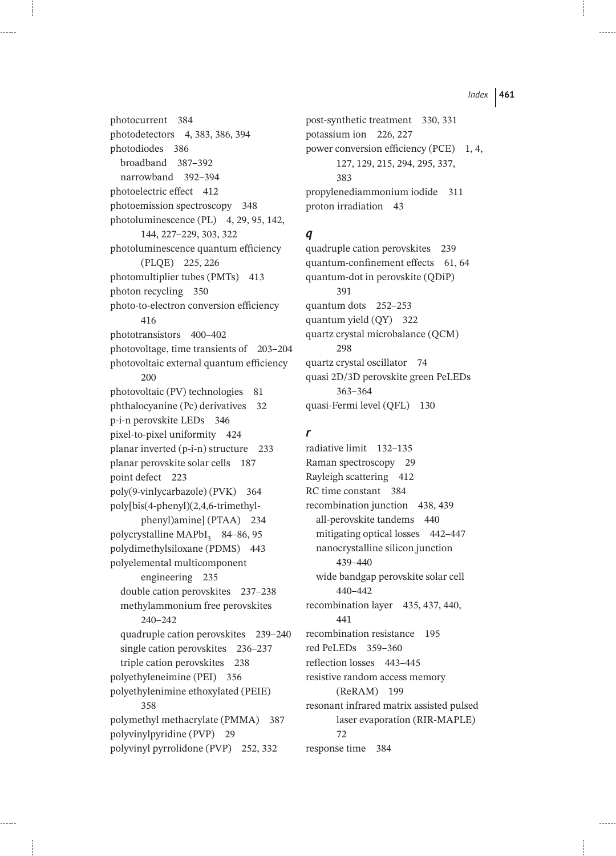photocurrent 384 photodetectors 4, 383, 386, 394 photodiodes 386 broadband 387–392 narrowband 392–394 photoelectric effect 412 photoemission spectroscopy 348 photoluminescence (PL) 4, 29, 95, 142, 144, 227–229, 303, 322 photoluminescence quantum efficiency (PLQE) 225, 226 photomultiplier tubes (PMTs) 413 photon recycling 350 photo-to-electron conversion efficiency 416 phototransistors 400–402 photovoltage, time transients of 203–204 photovoltaic external quantum efficiency 200 photovoltaic (PV) technologies 81 phthalocyanine (Pc) derivatives 32 p-i-n perovskite LEDs 346 pixel-to-pixel uniformity 424 planar inverted (p-i-n) structure 233 planar perovskite solar cells 187 point defect 223 poly(9-vinlycarbazole) (PVK) 364 poly[bis(4-phenyl)(2,4,6-trimethylphenyl)amine] (PTAA) 234 polycrystalline MAPbI<sub>3</sub> 84–86, 95 polydimethylsiloxane (PDMS) 443 polyelemental multicomponent engineering 235 double cation perovskites 237–238 methylammonium free perovskites 240–242 quadruple cation perovskites 239–240 single cation perovskites 236–237 triple cation perovskites 238 polyethyleneimine (PEI) 356 polyethylenimine ethoxylated (PEIE) 358 polymethyl methacrylate (PMMA) 387 polyvinylpyridine (PVP) 29 polyvinyl pyrrolidone (PVP) 252, 332

. . . . . .

. . . . . .

post-synthetic treatment 330, 331 potassium ion 226, 227 power conversion efficiency (PCE) 1, 4, 127, 129, 215, 294, 295, 337, 383 propylenediammonium iodide 311 proton irradiation 43

#### *q*

quadruple cation perovskites 239 quantum-confinement effects 61, 64 quantum-dot in perovskite (QDiP) 391 quantum dots 252–253 quantum yield (QY) 322 quartz crystal microbalance (QCM) 298 quartz crystal oscillator 74 quasi 2D/3D perovskite green PeLEDs 363–364 quasi-Fermi level (QFL) 130

# *r*

radiative limit 132–135 Raman spectroscopy 29 Rayleigh scattering 412 RC time constant 384 recombination junction 438, 439 all-perovskite tandems 440 mitigating optical losses 442–447 nanocrystalline silicon junction 439–440 wide bandgap perovskite solar cell 440–442 recombination layer 435, 437, 440, 441 recombination resistance 195 red PeLEDs 359–360 reflection losses 443–445 resistive random access memory (ReRAM) 199 resonant infrared matrix assisted pulsed laser evaporation (RIR-MAPLE) 72 response time 384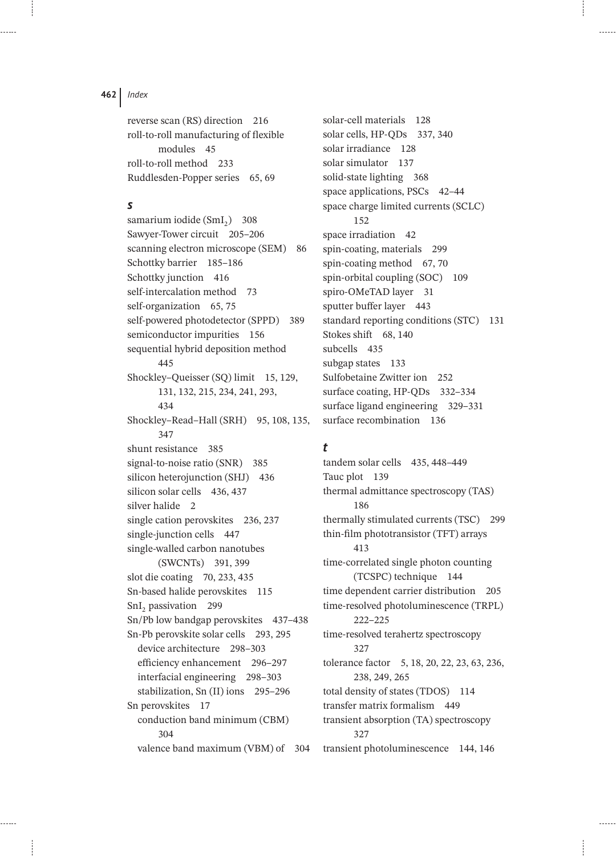. . . . . .

------

reverse scan (RS) direction 216 roll-to-roll manufacturing of flexible modules 45 roll-to-roll method 233 Ruddlesden-Popper series 65, 69

#### *s*

samarium iodide  $(SmI<sub>2</sub>)$  308 Sawyer-Tower circuit 205–206 scanning electron microscope (SEM) 86 Schottky barrier 185–186 Schottky junction 416 self-intercalation method 73 self-organization 65, 75 self-powered photodetector (SPPD) 389 semiconductor impurities 156 sequential hybrid deposition method 445 Shockley–Queisser (SQ) limit 15, 129, 131, 132, 215, 234, 241, 293, 434 Shockley–Read–Hall (SRH) 95, 108, 135, 347 shunt resistance 385 signal-to-noise ratio (SNR) 385 silicon heterojunction (SHJ) 436 silicon solar cells 436, 437 silver halide 2 single cation perovskites 236, 237 single-junction cells 447 single-walled carbon nanotubes (SWCNTs) 391, 399 slot die coating 70, 233, 435 Sn-based halide perovskites 115 SnI<sub>2</sub> passivation 299 Sn/Pb low bandgap perovskites 437–438 Sn-Pb perovskite solar cells 293, 295 device architecture 298–303 efficiency enhancement 296–297 interfacial engineering 298–303 stabilization, Sn (II) ions 295–296 Sn perovskites 17 conduction band minimum (CBM) 304 valence band maximum (VBM) of 304 solar-cell materials 128 solar cells, HP-QDs 337, 340 solar irradiance 128 solar simulator 137 solid-state lighting 368 space applications, PSCs 42–44 space charge limited currents (SCLC) 152 space irradiation 42 spin-coating, materials 299 spin-coating method 67, 70 spin-orbital coupling (SOC) 109 spiro-OMeTAD layer 31 sputter buffer layer 443 standard reporting conditions (STC) 131 Stokes shift 68, 140 subcells 435 subgap states 133 Sulfobetaine Zwitter ion 252 surface coating, HP-QDs 332–334 surface ligand engineering 329–331 surface recombination 136

#### *t*

tandem solar cells 435, 448–449 Tauc plot 139 thermal admittance spectroscopy (TAS) 186 thermally stimulated currents (TSC) 299 thin-film phototransistor (TFT) arrays 413 time-correlated single photon counting (TCSPC) technique 144 time dependent carrier distribution 205 time-resolved photoluminescence (TRPL) 222–225 time-resolved terahertz spectroscopy 327 tolerance factor 5, 18, 20, 22, 23, 63, 236, 238, 249, 265 total density of states (TDOS) 114 transfer matrix formalism 449 transient absorption (TA) spectroscopy 327 transient photoluminescence 144, 146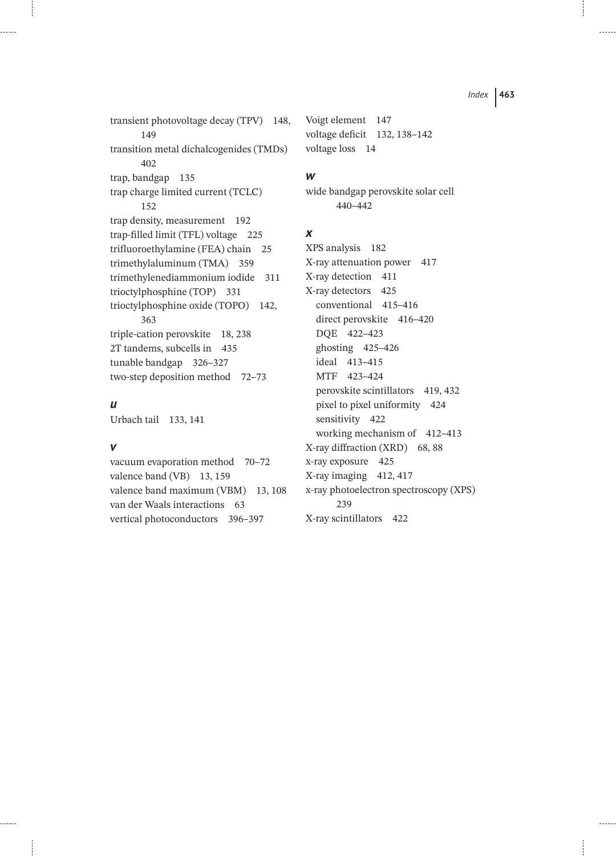$1.1.1.1$ 

 $\frac{1}{2}$ 

transient photovoltage decay (TPV) 148, 149 transition metal dichalcogenides (TMDs) 402 trap, bandgap 135 trap charge limited current (TCLC) 152 trap density, measurement 192 trap-filled limit (TFL) voltage 225 trifluoroethylamine (FEA) chain 25 trimethylaluminum (TMA) 359 trimethylenediammonium iodide 311 trioctylphosphine (TOP) 331 trioctylphosphine oxide (TOPO) 142, 363 triple-cation perovskite 18, 238 2T tandems, subcells in 435 tunable bandgap 326–327 two-step deposition method 72–73

#### *u*

. . . . . .

......

Urbach tail 133, 141

#### *v*

vacuum evaporation method 70–72 valence band (VB) 13, 159 valence band maximum (VBM) 13, 108 van der Waals interactions 63 vertical photoconductors 396–397

Voigt element 147 voltage deficit 132, 138–142 voltage loss 14

#### *w*

wide bandgap perovskite solar cell 440–442

# *x*

XPS analysis 182 X-ray attenuation power 417 X-ray detection 411 X-ray detectors 425 conventional 415–416 direct perovskite 416–420 DQE 422–423 ghosting 425–426 ideal 413–415 MTF 423–424 perovskite scintillators 419, 432 pixel to pixel uniformity 424 sensitivity 422 working mechanism of 412–413 X-ray diffraction (XRD) 68, 88 x-ray exposure 425 X-ray imaging 412, 417 x-ray photoelectron spectroscopy (XPS) 239 X-ray scintillators 422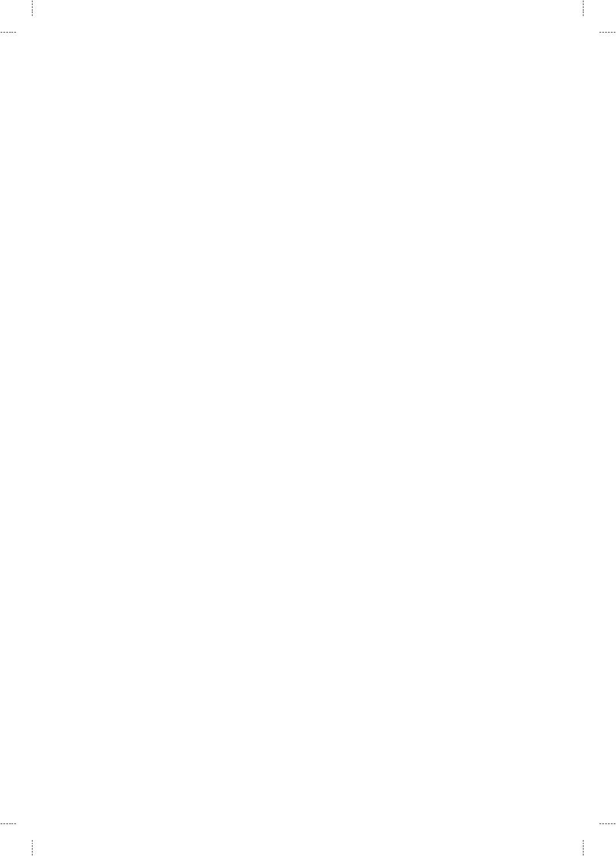. . . . . .

.....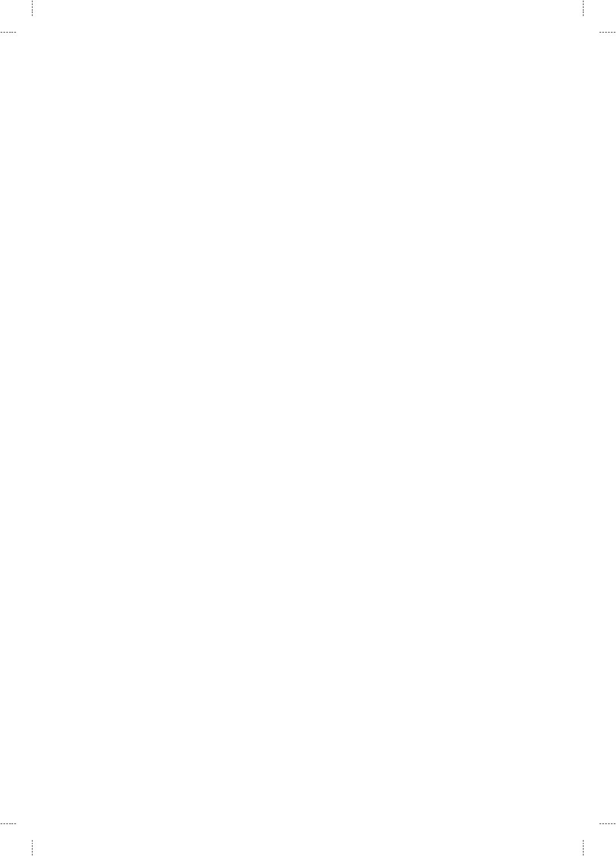. . . . . .

.....